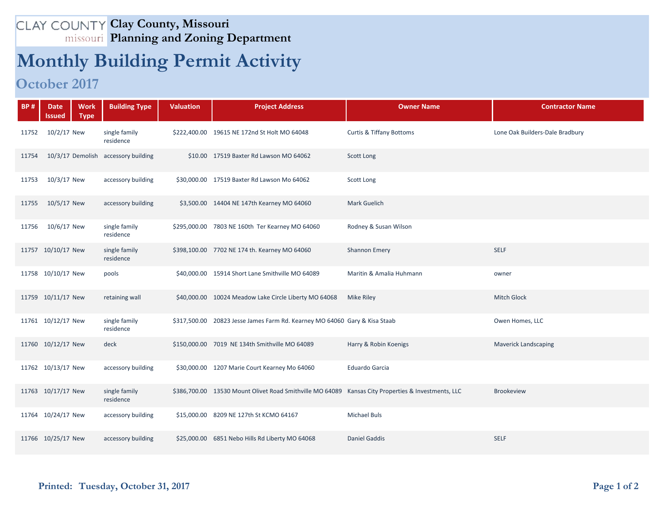## **Clay County, Missouri Planning and Zoning Department**

## **Monthly Building Permit Activity**

## **October 2017**

| <b>BP#</b> | <b>Date</b><br>Issued | <b>Work</b><br><b>Type</b> | <b>Building Type</b>                | <b>Valuation</b> | <b>Project Address</b>                                                                             | <b>Owner Name</b>                   | <b>Contractor Name</b>          |
|------------|-----------------------|----------------------------|-------------------------------------|------------------|----------------------------------------------------------------------------------------------------|-------------------------------------|---------------------------------|
| 11752      | 10/2/17 New           |                            | single family<br>residence          |                  | \$222,400.00 19615 NE 172nd St Holt MO 64048                                                       | <b>Curtis &amp; Tiffany Bottoms</b> | Lone Oak Builders-Dale Bradbury |
| 11754      |                       |                            | 10/3/17 Demolish accessory building |                  | \$10.00 17519 Baxter Rd Lawson MO 64062                                                            | Scott Long                          |                                 |
| 11753      | 10/3/17 New           |                            | accessory building                  |                  | \$30,000.00 17519 Baxter Rd Lawson Mo 64062                                                        | Scott Long                          |                                 |
| 11755      | 10/5/17 New           |                            | accessory building                  |                  | \$3,500.00 14404 NE 147th Kearney MO 64060                                                         | Mark Guelich                        |                                 |
| 11756      | 10/6/17 New           |                            | single family<br>residence          |                  | \$295,000.00 7803 NE 160th Ter Kearney MO 64060                                                    | Rodney & Susan Wilson               |                                 |
|            | 11757 10/10/17 New    |                            | single family<br>residence          |                  | \$398,100.00 7702 NE 174 th. Kearney MO 64060                                                      | <b>Shannon Emery</b>                | <b>SELF</b>                     |
|            | 11758 10/10/17 New    |                            | pools                               |                  | \$40,000.00 15914 Short Lane Smithville MO 64089                                                   | Maritin & Amalia Huhmann            | owner                           |
|            | 11759 10/11/17 New    |                            | retaining wall                      |                  | \$40,000.00 10024 Meadow Lake Circle Liberty MO 64068                                              | Mike Riley                          | <b>Mitch Glock</b>              |
|            | 11761 10/12/17 New    |                            | single family<br>residence          |                  | \$317,500.00 20823 Jesse James Farm Rd. Kearney MO 64060 Gary & Kisa Staab                         |                                     | Owen Homes, LLC                 |
|            | 11760 10/12/17 New    |                            | deck                                |                  | \$150,000.00 7019 NE 134th Smithville MO 64089                                                     | Harry & Robin Koenigs               | <b>Maverick Landscaping</b>     |
|            | 11762 10/13/17 New    |                            | accessory building                  |                  | \$30,000.00 1207 Marie Court Kearney Mo 64060                                                      | <b>Eduardo Garcia</b>               |                                 |
|            | 11763 10/17/17 New    |                            | single family<br>residence          |                  | \$386,700.00 13530 Mount Olivet Road Smithville MO 64089 Kansas City Properties & Investments, LLC |                                     | <b>Brookeview</b>               |
|            | 11764 10/24/17 New    |                            | accessory building                  |                  | \$15,000.00 8209 NE 127th St KCMO 64167                                                            | <b>Michael Buls</b>                 |                                 |
|            | 11766 10/25/17 New    |                            | accessory building                  |                  | \$25,000.00 6851 Nebo Hills Rd Liberty MO 64068                                                    | <b>Daniel Gaddis</b>                | <b>SELF</b>                     |